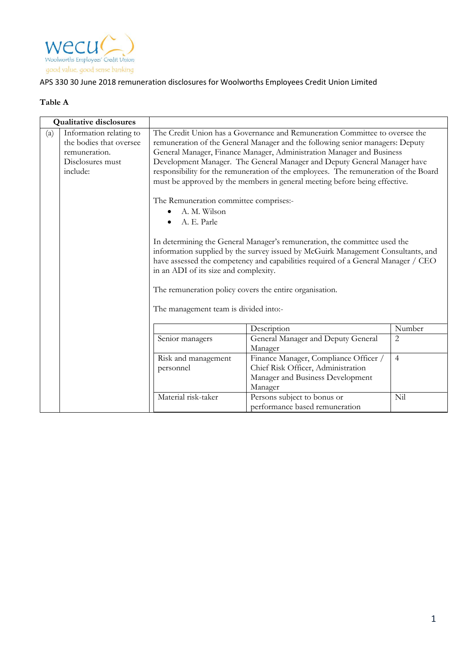

## APS 330 30 June 2018 remuneration disclosures for Woolworths Employees Credit Union Limited

## **Table A**

| <b>Qualitative disclosures</b> |                                                                                                     |                                                                                                                                                                      |                                                                                                                                                                                                                                                                                                                                                                                                                                                                                                                                                                                                                                                                                                                                                                                                         |                |
|--------------------------------|-----------------------------------------------------------------------------------------------------|----------------------------------------------------------------------------------------------------------------------------------------------------------------------|---------------------------------------------------------------------------------------------------------------------------------------------------------------------------------------------------------------------------------------------------------------------------------------------------------------------------------------------------------------------------------------------------------------------------------------------------------------------------------------------------------------------------------------------------------------------------------------------------------------------------------------------------------------------------------------------------------------------------------------------------------------------------------------------------------|----------------|
| (a)                            | Information relating to<br>the bodies that oversee<br>remuneration.<br>Disclosures must<br>include: | The Remuneration committee comprises:-<br>A. M. Wilson<br>A. E. Parle<br>$\bullet$<br>in an ADI of its size and complexity.<br>The management team is divided into:- | The Credit Union has a Governance and Remuneration Committee to oversee the<br>remuneration of the General Manager and the following senior managers: Deputy<br>General Manager, Finance Manager, Administration Manager and Business<br>Development Manager. The General Manager and Deputy General Manager have<br>responsibility for the remuneration of the employees. The remuneration of the Board<br>must be approved by the members in general meeting before being effective.<br>In determining the General Manager's remuneration, the committee used the<br>information supplied by the survey issued by McGuirk Management Consultants, and<br>have assessed the competency and capabilities required of a General Manager / CEO<br>The remuneration policy covers the entire organisation. |                |
|                                |                                                                                                     |                                                                                                                                                                      | Description                                                                                                                                                                                                                                                                                                                                                                                                                                                                                                                                                                                                                                                                                                                                                                                             | Number         |
|                                |                                                                                                     | Senior managers                                                                                                                                                      | General Manager and Deputy General<br>Manager                                                                                                                                                                                                                                                                                                                                                                                                                                                                                                                                                                                                                                                                                                                                                           | $\overline{2}$ |
|                                |                                                                                                     | Risk and management<br>personnel                                                                                                                                     | Finance Manager, Compliance Officer /<br>Chief Risk Officer, Administration<br>Manager and Business Development<br>Manager                                                                                                                                                                                                                                                                                                                                                                                                                                                                                                                                                                                                                                                                              | $\overline{4}$ |
|                                |                                                                                                     | Material risk-taker                                                                                                                                                  | Persons subject to bonus or<br>performance based remuneration                                                                                                                                                                                                                                                                                                                                                                                                                                                                                                                                                                                                                                                                                                                                           | Nil            |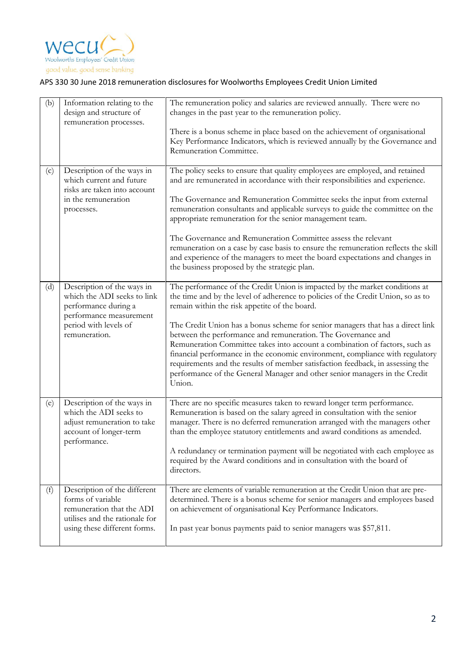

## APS 330 30 June 2018 remuneration disclosures for Woolworths Employees Credit Union Limited

| (b) | Information relating to the<br>design and structure of<br>remuneration processes.                                                                      | The remuneration policy and salaries are reviewed annually. There were no<br>changes in the past year to the remuneration policy.<br>There is a bonus scheme in place based on the achievement of organisational<br>Key Performance Indicators, which is reviewed annually by the Governance and<br>Remuneration Committee.                                                                                                                                                                                                                                                                                                                                                                                  |
|-----|--------------------------------------------------------------------------------------------------------------------------------------------------------|--------------------------------------------------------------------------------------------------------------------------------------------------------------------------------------------------------------------------------------------------------------------------------------------------------------------------------------------------------------------------------------------------------------------------------------------------------------------------------------------------------------------------------------------------------------------------------------------------------------------------------------------------------------------------------------------------------------|
| (c) | Description of the ways in<br>which current and future<br>risks are taken into account<br>in the remuneration<br>processes.                            | The policy seeks to ensure that quality employees are employed, and retained<br>and are remunerated in accordance with their responsibilities and experience.<br>The Governance and Remuneration Committee seeks the input from external<br>remuneration consultants and applicable surveys to guide the committee on the<br>appropriate remuneration for the senior management team.<br>The Governance and Remuneration Committee assess the relevant<br>remuneration on a case by case basis to ensure the remuneration reflects the skill<br>and experience of the managers to meet the board expectations and changes in<br>the business proposed by the strategic plan.                                 |
| (d) | Description of the ways in<br>which the ADI seeks to link<br>performance during a<br>performance measurement<br>period with levels of<br>remuneration. | The performance of the Credit Union is impacted by the market conditions at<br>the time and by the level of adherence to policies of the Credit Union, so as to<br>remain within the risk appetite of the board.<br>The Credit Union has a bonus scheme for senior managers that has a direct link<br>between the performance and remuneration. The Governance and<br>Remuneration Committee takes into account a combination of factors, such as<br>financial performance in the economic environment, compliance with regulatory<br>requirements and the results of member satisfaction feedback, in assessing the<br>performance of the General Manager and other senior managers in the Credit<br>Union. |
| (e) | Description of the ways in<br>which the ADI seeks to<br>adjust remuneration to take<br>account of longer-term<br>performance.                          | There are no specific measures taken to reward longer term performance.<br>Remuneration is based on the salary agreed in consultation with the senior<br>manager. There is no deferred remuneration arranged with the managers other<br>than the employee statutory entitlements and award conditions as amended.<br>A redundancy or termination payment will be negotiated with each employee as<br>required by the Award conditions and in consultation with the board of<br>directors.                                                                                                                                                                                                                    |
| (f) | Description of the different<br>forms of variable<br>remuneration that the ADI<br>utilises and the rationale for<br>using these different forms.       | There are elements of variable remuneration at the Credit Union that are pre-<br>determined. There is a bonus scheme for senior managers and employees based<br>on achievement of organisational Key Performance Indicators.<br>In past year bonus payments paid to senior managers was \$57,811.                                                                                                                                                                                                                                                                                                                                                                                                            |